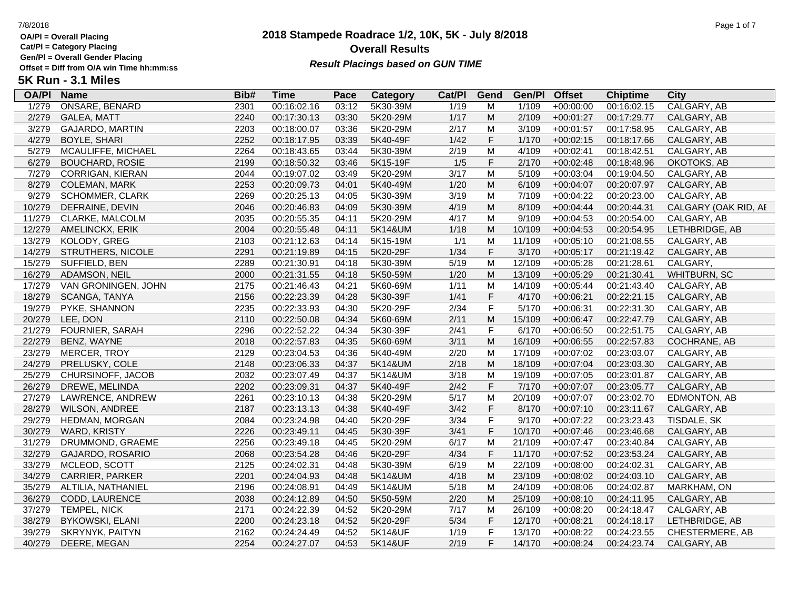**Cat/Pl = Category Placing**

**Gen/Pl = Overall Gender Placing**

## **2018 Stampede Roadrace 1/2, 10K, 5K - July 8/2018** 7/8/2018 Page 1 of 7 **Overall Results** Gen/PI = Overall Gender Placing<br>Offset = Diff from O/A win Time hh:mm:ss *Result Placings based on GUN TIME*

| <b>OA/PI</b> | <b>Name</b>             | Bib# | <b>Time</b> | Pace  | Category | Cat/PI | Gend                                                                                                       | Gen/Pl | <b>Offset</b> | <b>Chiptime</b> | City                 |
|--------------|-------------------------|------|-------------|-------|----------|--------|------------------------------------------------------------------------------------------------------------|--------|---------------|-----------------|----------------------|
| 1/279        | ONSARE, BENARD          | 2301 | 00:16:02.16 | 03:12 | 5K30-39M | 1/19   | M                                                                                                          | 1/109  | $+00:00:00$   | 00:16:02.15     | CALGARY, AB          |
| 2/279        | <b>GALEA, MATT</b>      | 2240 | 00:17:30.13 | 03:30 | 5K20-29M | 1/17   | M                                                                                                          | 2/109  | $+00:01:27$   | 00:17:29.77     | CALGARY, AB          |
| 3/279        | <b>GAJARDO, MARTIN</b>  | 2203 | 00:18:00.07 | 03:36 | 5K20-29M | 2/17   | M                                                                                                          | 3/109  | $+00:01:57$   | 00:17:58.95     | CALGARY, AB          |
| 4/279        | <b>BOYLE, SHARI</b>     | 2252 | 00:18:17.95 | 03:39 | 5K40-49F | 1/42   | $\mathsf F$                                                                                                | 1/170  | $+00:02:15$   | 00:18:17.66     | CALGARY, AB          |
| 5/279        | MCAULIFFE, MICHAEL      | 2264 | 00:18:43.65 | 03:44 | 5K30-39M | 2/19   | M                                                                                                          | 4/109  | $+00:02:41$   | 00:18:42.51     | CALGARY, AB          |
| 6/279        | <b>BOUCHARD, ROSIE</b>  | 2199 | 00:18:50.32 | 03:46 | 5K15-19F | 1/5    | $\mathsf F$                                                                                                | 2/170  | $+00:02:48$   | 00:18:48.96     | OKOTOKS, AB          |
| 7/279        | <b>CORRIGAN, KIERAN</b> | 2044 | 00:19:07.02 | 03:49 | 5K20-29M | 3/17   | M                                                                                                          | 5/109  | $+00:03:04$   | 00:19:04.50     | CALGARY, AB          |
| 8/279        | <b>COLEMAN, MARK</b>    | 2253 | 00:20:09.73 | 04:01 | 5K40-49M | 1/20   | $\mathsf{M}% _{T}=\mathsf{M}_{T}\!\left( a,b\right) ,\ \mathsf{M}_{T}=\mathsf{M}_{T}\!\left( a,b\right) ,$ | 6/109  | $+00:04:07$   | 00:20:07.97     | CALGARY, AB          |
| 9/279        | <b>SCHOMMER, CLARK</b>  | 2269 | 00:20:25.13 | 04:05 | 5K30-39M | 3/19   | M                                                                                                          | 7/109  | $+00:04:22$   | 00:20:23.00     | CALGARY, AB          |
| 10/279       | DEFRAINE, DEVIN         | 2046 | 00:20:46.83 | 04:09 | 5K30-39M | 4/19   | M                                                                                                          | 8/109  | $+00:04:44$   | 00:20:44.31     | CALGARY (OAK RID, AE |
| 11/279       | CLARKE, MALCOLM         | 2035 | 00:20:55.35 | 04:11 | 5K20-29M | 4/17   | M                                                                                                          | 9/109  | $+00:04:53$   | 00:20:54.00     | CALGARY, AB          |
| 12/279       | AMELINCKX, ERIK         | 2004 | 00:20:55.48 | 04:11 | 5K14&UM  | 1/18   | M                                                                                                          | 10/109 | $+00:04:53$   | 00:20:54.95     | LETHBRIDGE, AB       |
| 13/279       | KOLODY, GREG            | 2103 | 00:21:12.63 | 04:14 | 5K15-19M | 1/1    | M                                                                                                          | 11/109 | $+00:05:10$   | 00:21:08.55     | CALGARY, AB          |
| 14/279       | STRUTHERS, NICOLE       | 2291 | 00:21:19.89 | 04:15 | 5K20-29F | 1/34   | $\mathsf F$                                                                                                | 3/170  | $+00:05:17$   | 00:21:19.42     | CALGARY, AB          |
| 15/279       | SUFFIELD, BEN           | 2289 | 00:21:30.91 | 04:18 | 5K30-39M | 5/19   | M                                                                                                          | 12/109 | $+00:05:28$   | 00:21:28.61     | CALGARY,             |
| 16/279       | ADAMSON, NEIL           | 2000 | 00:21:31.55 | 04:18 | 5K50-59M | 1/20   | M                                                                                                          | 13/109 | $+00:05:29$   | 00:21:30.41     | WHITBURN, SC         |
| 17/279       | VAN GRONINGEN, JOHN     | 2175 | 00:21:46.43 | 04:21 | 5K60-69M | 1/11   | M                                                                                                          | 14/109 | $+00:05:44$   | 00:21:43.40     | CALGARY, AB          |
| 18/279       | SCANGA, TANYA           | 2156 | 00:22:23.39 | 04:28 | 5K30-39F | 1/41   | $\mathsf F$                                                                                                | 4/170  | $+00:06:21$   | 00:22:21.15     | CALGARY, AB          |
| 19/279       | PYKE, SHANNON           | 2235 | 00:22:33.93 | 04:30 | 5K20-29F | 2/34   | $\mathsf F$                                                                                                | 5/170  | $+00:06:31$   | 00:22:31.30     | CALGARY, AB          |
| 20/279       | LEE, DON                | 2110 | 00:22:50.08 | 04:34 | 5K60-69M | 2/11   | M                                                                                                          | 15/109 | $+00:06:47$   | 00:22:47.79     | CALGARY, AB          |
| 21/279       | <b>FOURNIER, SARAH</b>  | 2296 | 00:22:52.22 | 04:34 | 5K30-39F | 2/41   | $\mathsf F$                                                                                                | 6/170  | $+00:06:50$   | 00:22:51.75     | CALGARY, AB          |
| 22/279       | BENZ, WAYNE             | 2018 | 00:22:57.83 | 04:35 | 5K60-69M | 3/11   | M                                                                                                          | 16/109 | $+00:06:55$   | 00:22:57.83     | COCHRANE, AB         |
| 23/279       | MERCER, TROY            | 2129 | 00:23:04.53 | 04:36 | 5K40-49M | 2/20   | M                                                                                                          | 17/109 | $+00:07:02$   | 00:23:03.07     | CALGARY, AB          |
| 24/279       | PRELUSKY, COLE          | 2148 | 00:23:06.33 | 04:37 | 5K14&UM  | 2/18   | M                                                                                                          | 18/109 | $+00:07:04$   | 00:23:03.30     | CALGARY, AB          |
| 25/279       | CHURSINOFF, JACOB       | 2032 | 00:23:07.49 | 04:37 | 5K14&UM  | 3/18   | M                                                                                                          | 19/109 | $+00:07:05$   | 00:23:01.87     | CALGARY, AB          |
| 26/279       | DREWE, MELINDA          | 2202 | 00:23:09.31 | 04:37 | 5K40-49F | 2/42   | $\mathsf F$                                                                                                | 7/170  | $+00:07:07$   | 00:23:05.77     | CALGARY, AB          |
| 27/279       | LAWRENCE, ANDREW        | 2261 | 00:23:10.13 | 04:38 | 5K20-29M | 5/17   | M                                                                                                          | 20/109 | $+00:07:07$   | 00:23:02.70     | EDMONTON, AB         |
| 28/279       | <b>WILSON, ANDREE</b>   | 2187 | 00:23:13.13 | 04:38 | 5K40-49F | 3/42   | $\mathsf F$                                                                                                | 8/170  | $+00:07:10$   | 00:23:11.67     | CALGARY, AB          |
| 29/279       | HEDMAN, MORGAN          | 2084 | 00:23:24.98 | 04:40 | 5K20-29F | 3/34   | $\mathsf F$                                                                                                | 9/170  | $+00:07:22$   | 00:23:23.43     | TISDALE, SK          |
| 30/279       | <b>WARD, KRISTY</b>     | 2226 | 00:23:49.11 | 04:45 | 5K30-39F | 3/41   | $\mathsf F$                                                                                                | 10/170 | $+00:07:46$   | 00:23:46.68     | CALGARY, AB          |
| 31/279       | DRUMMOND, GRAEME        | 2256 | 00:23:49.18 | 04:45 | 5K20-29M | 6/17   | M                                                                                                          | 21/109 | $+00:07:47$   | 00:23:40.84     | CALGARY, AB          |
| 32/279       | <b>GAJARDO, ROSARIO</b> | 2068 | 00:23:54.28 | 04:46 | 5K20-29F | 4/34   | $\mathsf F$                                                                                                | 11/170 | $+00:07:52$   | 00:23:53.24     | CALGARY, AB          |
| 33/279       | MCLEOD, SCOTT           | 2125 | 00:24:02.31 | 04:48 | 5K30-39M | 6/19   | M                                                                                                          | 22/109 | $+00:08:00$   | 00:24:02.31     | CALGARY, AB          |
| 34/279       | CARRIER, PARKER         | 2201 | 00:24:04.93 | 04:48 | 5K14&UM  | 4/18   | M                                                                                                          | 23/109 | $+00:08:02$   | 00:24:03.10     | CALGARY, AB          |
| 35/279       | ALTILIA, NATHANIEL      | 2196 | 00:24:08.91 | 04:49 | 5K14&UM  | 5/18   | M                                                                                                          | 24/109 | $+00:08:06$   | 00:24:02.87     | MARKHAM, ON          |
| 36/279       | CODD, LAURENCE          | 2038 | 00:24:12.89 | 04:50 | 5K50-59M | 2/20   | M                                                                                                          | 25/109 | $+00:08:10$   | 00:24:11.95     | CALGARY, AB          |
| 37/279       | TEMPEL, NICK            | 2171 | 00:24:22.39 | 04:52 | 5K20-29M | 7/17   | M                                                                                                          | 26/109 | $+00:08:20$   | 00:24:18.47     | CALGARY, AB          |
| 38/279       | <b>BYKOWSKI, ELANI</b>  | 2200 | 00:24:23.18 | 04:52 | 5K20-29F | 5/34   | $\mathsf F$                                                                                                | 12/170 | $+00:08:21$   | 00:24:18.17     | LETHBRIDGE, AB       |
| 39/279       | SKRYNYK, PAITYN         | 2162 | 00:24:24.49 | 04:52 | 5K14&UF  | 1/19   | $\mathsf F$                                                                                                | 13/170 | $+00:08:22$   | 00:24:23.55     | CHESTERMERE, AB      |
| 40/279       | DEERE, MEGAN            | 2254 | 00:24:27.07 | 04:53 | 5K14&UF  | 2/19   | F                                                                                                          | 14/170 | $+00:08:24$   | 00:24:23.74     | CALGARY, AB          |
|              |                         |      |             |       |          |        |                                                                                                            |        |               |                 |                      |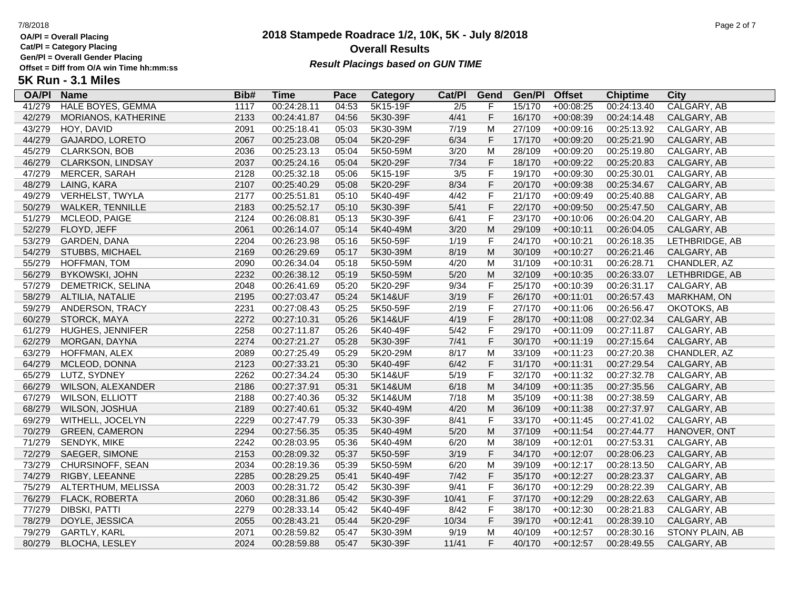**Cat/Pl = Category Placing**

**Gen/Pl = Overall Gender Placing**

## **2018 Stampede Roadrace 1/2, 10K, 5K - July 8/2018** 7/8/2018 Page 2 of 7 **Overall Results** Gen/PI = Overall Gender Placing<br>Offset = Diff from O/A win Time hh:mm:ss *Result Placings based on GUN TIME*

| <b>OA/PI</b> | <b>Name</b>              | Bib# | <b>Time</b> | Pace  | Category | Cat/PI           | Gend           | Gen/Pl | <b>Offset</b> | <b>Chiptime</b> | City            |
|--------------|--------------------------|------|-------------|-------|----------|------------------|----------------|--------|---------------|-----------------|-----------------|
| 41/279       | <b>HALE BOYES, GEMMA</b> | 1117 | 00:24:28.11 | 04:53 | 5K15-19F | $\overline{2/5}$ | F              | 15/170 | $+00:08:25$   | 00:24:13.40     | CALGARY, AB     |
| 42/279       | MORIANOS, KATHERINE      | 2133 | 00:24:41.87 | 04:56 | 5K30-39F | 4/41             | $\mathsf F$    | 16/170 | $+00:08:39$   | 00:24:14.48     | CALGARY, AB     |
| 43/279       | HOY, DAVID               | 2091 | 00:25:18.41 | 05:03 | 5K30-39M | 7/19             | M              | 27/109 | $+00:09:16$   | 00:25:13.92     | CALGARY, AB     |
| 44/279       | GAJARDO, LORETO          | 2067 | 00:25:23.08 | 05:04 | 5K20-29F | 6/34             | $\mathsf F$    | 17/170 | $+00:09:20$   | 00:25:21.90     | CALGARY, AB     |
| 45/279       | <b>CLARKSON, BOB</b>     | 2036 | 00:25:23.13 | 05:04 | 5K50-59M | 3/20             | M              | 28/109 | $+00:09:20$   | 00:25:19.80     | CALGARY, AB     |
| 46/279       | CLARKSON, LINDSAY        | 2037 | 00:25:24.16 | 05:04 | 5K20-29F | 7/34             | $\mathsf F$    | 18/170 | $+00:09:22$   | 00:25:20.83     | CALGARY, AB     |
| 47/279       | MERCER, SARAH            | 2128 | 00:25:32.18 | 05:06 | 5K15-19F | 3/5              | $\mathsf F$    | 19/170 | $+00:09:30$   | 00:25:30.01     | CALGARY, AB     |
| 48/279       | LAING, KARA              | 2107 | 00:25:40.29 | 05:08 | 5K20-29F | 8/34             | $\mathsf F$    | 20/170 | $+00:09:38$   | 00:25:34.67     | CALGARY, AB     |
| 49/279       | VERHELST, TWYLA          | 2177 | 00:25:51.81 | 05:10 | 5K40-49F | 4/42             | $\mathsf F$    | 21/170 | $+00:09:49$   | 00:25:40.88     | CALGARY, AB     |
| 50/279       | WALKER, TENNILLE         | 2183 | 00:25:52.17 | 05:10 | 5K30-39F | 5/41             | $\mathsf F$    | 22/170 | $+00:09:50$   | 00:25:47.50     | CALGARY, AB     |
| 51/279       | MCLEOD, PAIGE            | 2124 | 00:26:08.81 | 05:13 | 5K30-39F | 6/41             | $\mathsf F$    | 23/170 | $+00:10:06$   | 00:26:04.20     | CALGARY, AB     |
| 52/279       | FLOYD, JEFF              | 2061 | 00:26:14.07 | 05:14 | 5K40-49M | 3/20             | M              | 29/109 | $+00:10:11$   | 00:26:04.05     | CALGARY, AB     |
| 53/279       | GARDEN, DANA             | 2204 | 00:26:23.98 | 05:16 | 5K50-59F | 1/19             | $\mathsf F$    | 24/170 | $+00:10:21$   | 00:26:18.35     | LETHBRIDGE, AB  |
| 54/279       | STUBBS, MICHAEL          | 2169 | 00:26:29.69 | 05:17 | 5K30-39M | 8/19             | M              | 30/109 | $+00:10:27$   | 00:26:21.46     | CALGARY, AB     |
| 55/279       | <b>HOFFMAN, TOM</b>      | 2090 | 00:26:34.04 | 05:18 | 5K50-59M | 4/20             | M              | 31/109 | $+00:10:31$   | 00:26:28.71     | CHANDLER, AZ    |
| 56/279       | <b>BYKOWSKI, JOHN</b>    | 2232 | 00:26:38.12 | 05:19 | 5K50-59M | 5/20             | M              | 32/109 | $+00:10:35$   | 00:26:33.07     | LETHBRIDGE, AB  |
| 57/279       | DEMETRICK, SELINA        | 2048 | 00:26:41.69 | 05:20 | 5K20-29F | 9/34             | $\mathsf F$    | 25/170 | $+00:10:39$   | 00:26:31.17     | CALGARY, AB     |
| 58/279       | ALTILIA, NATALIE         | 2195 | 00:27:03.47 | 05:24 | 5K14&UF  | 3/19             | $\mathsf F$    | 26/170 | $+00:11:01$   | 00:26:57.43     | MARKHAM, ON     |
| 59/279       | ANDERSON, TRACY          | 2231 | 00:27:08.43 | 05:25 | 5K50-59F | 2/19             | $\mathsf F$    | 27/170 | $+00:11:06$   | 00:26:56.47     | OKOTOKS, AB     |
| 60/279       | STORCK, MAYA             | 2272 | 00:27:10.31 | 05:26 | 5K14&UF  | 4/19             | $\mathsf F$    | 28/170 | $+00:11:08$   | 00:27:02.34     | CALGARY, AB     |
| 61/279       | <b>HUGHES, JENNIFER</b>  | 2258 | 00:27:11.87 | 05:26 | 5K40-49F | 5/42             | $\overline{F}$ | 29/170 | $+00:11:09$   | 00:27:11.87     | CALGARY, AB     |
| 62/279       | MORGAN, DAYNA            | 2274 | 00:27:21.27 | 05:28 | 5K30-39F | 7/41             | $\mathsf F$    | 30/170 | $+00:11:19$   | 00:27:15.64     | CALGARY, AB     |
| 63/279       | HOFFMAN, ALEX            | 2089 | 00:27:25.49 | 05:29 | 5K20-29M | 8/17             | M              | 33/109 | $+00:11:23$   | 00:27:20.38     | CHANDLER, AZ    |
| 64/279       | MCLEOD, DONNA            | 2123 | 00:27:33.21 | 05:30 | 5K40-49F | 6/42             | $\mathsf F$    | 31/170 | $+00:11:31$   | 00:27:29.54     | CALGARY, AB     |
| 65/279       | LUTZ, SYDNEY             | 2262 | 00:27:34.24 | 05:30 | 5K14&UF  | 5/19             | $\mathsf F$    | 32/170 | $+00:11:32$   | 00:27:32.78     | CALGARY, AB     |
| 66/279       | WILSON, ALEXANDER        | 2186 | 00:27:37.91 | 05:31 | 5K14&UM  | 6/18             | M              | 34/109 | $+00:11:35$   | 00:27:35.56     | CALGARY, AB     |
| 67/279       | <b>WILSON, ELLIOTT</b>   | 2188 | 00:27:40.36 | 05:32 | 5K14&UM  | 7/18             | M              | 35/109 | $+00:11:38$   | 00:27:38.59     | CALGARY, AB     |
| 68/279       | WILSON, JOSHUA           | 2189 | 00:27:40.61 | 05:32 | 5K40-49M | 4/20             | M              | 36/109 | $+00:11:38$   | 00:27:37.97     | CALGARY, AB     |
| 69/279       | WITHELL, JOCELYN         | 2229 | 00:27:47.79 | 05:33 | 5K30-39F | 8/41             | $\mathsf{F}$   | 33/170 | $+00:11:45$   | 00:27:41.02     | CALGARY, AB     |
| 70/279       | <b>GREEN, CAMERON</b>    | 2294 | 00:27:56.35 | 05:35 | 5K40-49M | 5/20             | M              | 37/109 | $+00:11:54$   | 00:27:44.77     | HANOVER, ONT    |
| 71/279       | SENDYK, MIKE             | 2242 | 00:28:03.95 | 05:36 | 5K40-49M | 6/20             | M              | 38/109 | $+00:12:01$   | 00:27:53.31     | CALGARY, AB     |
| 72/279       | SAEGER, SIMONE           | 2153 | 00:28:09.32 | 05:37 | 5K50-59F | 3/19             | $\mathsf F$    | 34/170 | $+00:12:07$   | 00:28:06.23     | CALGARY, AB     |
| 73/279       | CHURSINOFF, SEAN         | 2034 | 00:28:19.36 | 05:39 | 5K50-59M | 6/20             | M              | 39/109 | $+00:12:17$   | 00:28:13.50     | CALGARY, AB     |
| 74/279       | RIGBY, LEEANNE           | 2285 | 00:28:29.25 | 05:41 | 5K40-49F | $7/42$           | $\mathsf F$    | 35/170 | $+00:12:27$   | 00:28:23.37     | CALGARY, AB     |
| 75/279       | ALTERTHUM, MELISSA       | 2003 | 00:28:31.72 | 05:42 | 5K30-39F | 9/41             | $\mathsf F$    | 36/170 | $+00:12:29$   | 00:28:22.39     | CALGARY, AB     |
| 76/279       | FLACK, ROBERTA           | 2060 | 00:28:31.86 | 05:42 | 5K30-39F | 10/41            | $\mathsf F$    | 37/170 | $+00:12:29$   | 00:28:22.63     | CALGARY, AB     |
| 77/279       | <b>DIBSKI, PATTI</b>     | 2279 | 00:28:33.14 | 05:42 | 5K40-49F | 8/42             | $\mathsf F$    | 38/170 | $+00:12:30$   | 00:28:21.83     | CALGARY, AB     |
| 78/279       | DOYLE, JESSICA           | 2055 | 00:28:43.21 | 05:44 | 5K20-29F | 10/34            | $\mathsf F$    | 39/170 | $+00:12:41$   | 00:28:39.10     | CALGARY, AB     |
| 79/279       | GARTLY, KARL             | 2071 | 00:28:59.82 | 05:47 | 5K30-39M | 9/19             | M              | 40/109 | $+00:12:57$   | 00:28:30.16     | STONY PLAIN, AB |
| 80/279       | <b>BLOCHA, LESLEY</b>    | 2024 | 00:28:59.88 | 05:47 | 5K30-39F | 11/41            | F              | 40/170 | $+00:12:57$   | 00:28:49.55     | CALGARY, AB     |
|              |                          |      |             |       |          |                  |                |        |               |                 |                 |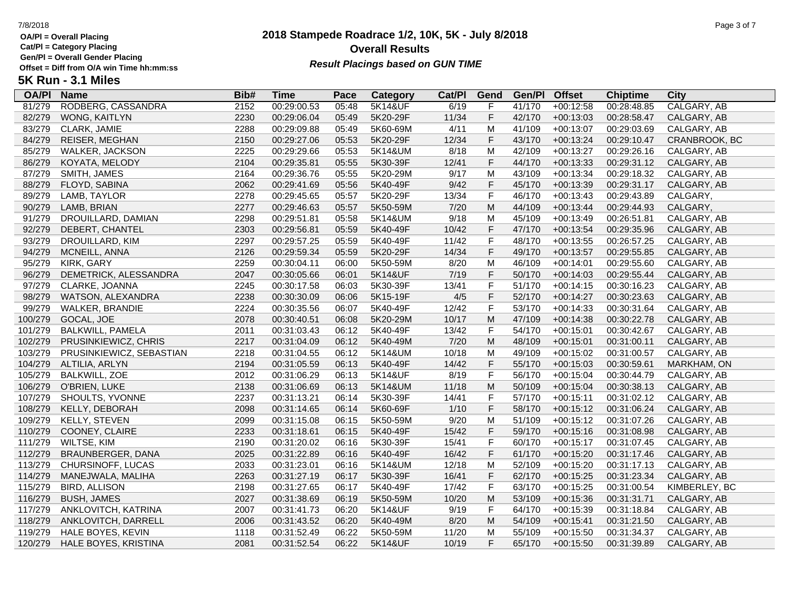**Cat/Pl = Category Placing**

**Gen/Pl = Overall Gender Placing**

### **2018 Stampede Roadrace 1/2, 10K, 5K - July 8/2018** 7/8/2018 Page 3 of 7 **Overall Results Result Placings based on GUN TIME**

| <b>OA/PI</b> | <b>Name</b>              | Bib# | Time        | Pace  | Category           | Cat/PI | Gend         | Gen/Pl | <b>Offset</b> | <b>Chiptime</b> | City          |
|--------------|--------------------------|------|-------------|-------|--------------------|--------|--------------|--------|---------------|-----------------|---------------|
| 81/279       | RODBERG, CASSANDRA       | 2152 | 00:29:00.53 | 05:48 | <b>5K14&amp;UF</b> | 6/19   | F            | 41/170 | $+00:12:58$   | 00:28:48.85     | CALGARY, AB   |
| 82/279       | WONG, KAITLYN            | 2230 | 00:29:06.04 | 05:49 | 5K20-29F           | 11/34  | F            | 42/170 | $+00:13:03$   | 00:28:58.47     | CALGARY, AB   |
| 83/279       | CLARK, JAMIE             | 2288 | 00:29:09.88 | 05:49 | 5K60-69M           | 4/11   | M            | 41/109 | $+00:13:07$   | 00:29:03.69     | CALGARY, AB   |
| 84/279       | REISER, MEGHAN           | 2150 | 00:29:27.06 | 05:53 | 5K20-29F           | 12/34  | $\mathsf F$  | 43/170 | $+00:13:24$   | 00:29:10.47     | CRANBROOK, BC |
| 85/279       | WALKER, JACKSON          | 2225 | 00:29:29.66 | 05:53 | 5K14&UM            | 8/18   | M            | 42/109 | $+00:13:27$   | 00:29:26.16     | CALGARY, AB   |
| 86/279       | KOYATA, MELODY           | 2104 | 00:29:35.81 | 05:55 | 5K30-39F           | 12/41  | $\mathsf F$  | 44/170 | $+00:13:33$   | 00:29:31.12     | CALGARY, AB   |
| 87/279       | SMITH, JAMES             | 2164 | 00:29:36.76 | 05:55 | 5K20-29M           | 9/17   | M            | 43/109 | $+00:13:34$   | 00:29:18.32     | CALGARY, AB   |
| 88/279       | FLOYD, SABINA            | 2062 | 00:29:41.69 | 05:56 | 5K40-49F           | 9/42   | $\mathsf F$  | 45/170 | $+00:13:39$   | 00:29:31.17     | CALGARY, AB   |
| 89/279       | LAMB, TAYLOR             | 2278 | 00:29:45.65 | 05:57 | 5K20-29F           | 13/34  | $\mathsf F$  | 46/170 | $+00:13:43$   | 00:29:43.89     | CALGARY,      |
| 90/279       | LAMB, BRIAN              | 2277 | 00:29:46.63 | 05:57 | 5K50-59M           | 7/20   | ${\sf M}$    | 44/109 | $+00:13:44$   | 00:29:44.93     | CALGARY,      |
| 91/279       | DROUILLARD, DAMIAN       | 2298 | 00:29:51.81 | 05:58 | 5K14&UM            | 9/18   | M            | 45/109 | $+00:13:49$   | 00:26:51.81     | CALGARY, AB   |
| 92/279       | DEBERT, CHANTEL          | 2303 | 00:29:56.81 | 05:59 | 5K40-49F           | 10/42  | F            | 47/170 | $+00:13:54$   | 00:29:35.96     | CALGARY, AB   |
| 93/279       | DROUILLARD, KIM          | 2297 | 00:29:57.25 | 05:59 | 5K40-49F           | 11/42  | $\mathsf F$  | 48/170 | $+00:13:55$   | 00:26:57.25     | CALGARY, AB   |
| 94/279       | MCNEILL, ANNA            | 2126 | 00:29:59.34 | 05:59 | 5K20-29F           | 14/34  | $\mathsf F$  | 49/170 | $+00:13:57$   | 00:29:55.85     | CALGARY, AB   |
| 95/279       | KIRK, GARY               | 2259 | 00:30:04.11 | 06:00 | 5K50-59M           | 8/20   | M            | 46/109 | $+00:14:01$   | 00:29:55.60     | CALGARY, AB   |
| 96/279       | DEMETRICK, ALESSANDRA    | 2047 | 00:30:05.66 | 06:01 | 5K14&UF            | 7/19   | $\mathsf F$  | 50/170 | $+00:14:03$   | 00:29:55.44     | CALGARY, AB   |
| 97/279       | CLARKE, JOANNA           | 2245 | 00:30:17.58 | 06:03 | 5K30-39F           | 13/41  | F            | 51/170 | $+00:14:15$   | 00:30:16.23     | CALGARY, AB   |
| 98/279       | WATSON, ALEXANDRA        | 2238 | 00:30:30.09 | 06:06 | 5K15-19F           | 4/5    | F            | 52/170 | $+00:14:27$   | 00:30:23.63     | CALGARY, AB   |
| 99/279       | <b>WALKER, BRANDIE</b>   | 2224 | 00:30:35.56 | 06:07 | 5K40-49F           | 12/42  | $\mathsf F$  | 53/170 | $+00:14:33$   | 00:30:31.64     | CALGARY, AB   |
| 100/279      | GOCAL, JOE               | 2078 | 00:30:40.51 | 06:08 | 5K20-29M           | 10/17  | M            | 47/109 | $+00:14:38$   | 00:30:22.78     | CALGARY, AB   |
| 101/279      | <b>BALKWILL, PAMELA</b>  | 2011 | 00:31:03.43 | 06:12 | 5K40-49F           | 13/42  | $\mathsf F$  | 54/170 | $+00:15:01$   | 00:30:42.67     | CALGARY, AB   |
| 102/279      | PRUSINKIEWICZ, CHRIS     | 2217 | 00:31:04.09 | 06:12 | 5K40-49M           | 7/20   | ${\sf M}$    | 48/109 | $+00:15:01$   | 00:31:00.11     | CALGARY, AB   |
| 103/279      | PRUSINKIEWICZ, SEBASTIAN | 2218 | 00:31:04.55 | 06:12 | 5K14&UM            | 10/18  | M            | 49/109 | $+00:15:02$   | 00:31:00.57     | CALGARY, AB   |
| 104/279      | ALTILIA, ARLYN           | 2194 | 00:31:05.59 | 06:13 | 5K40-49F           | 14/42  | $\mathsf F$  | 55/170 | $+00:15:03$   | 00:30:59.61     | MARKHAM, ON   |
| 105/279      | <b>BALKWILL, ZOE</b>     | 2012 | 00:31:06.29 | 06:13 | 5K14&UF            | 8/19   | $\mathsf F$  | 56/170 | $+00:15:04$   | 00:30:44.79     | CALGARY, AB   |
| 106/279      | O'BRIEN, LUKE            | 2138 | 00:31:06.69 | 06:13 | 5K14&UM            | 11/18  | M            | 50/109 | $+00:15:04$   | 00:30:38.13     | CALGARY, AB   |
| 107/279      | SHOULTS, YVONNE          | 2237 | 00:31:13.21 | 06:14 | 5K30-39F           | 14/41  | $\mathsf F$  | 57/170 | $+00:15:11$   | 00:31:02.12     | CALGARY, AB   |
| 108/279      | KELLY, DEBORAH           | 2098 | 00:31:14.65 | 06:14 | 5K60-69F           | 1/10   | $\mathsf F$  | 58/170 | $+00:15:12$   | 00:31:06.24     | CALGARY, AB   |
| 109/279      | KELLY, STEVEN            | 2099 | 00:31:15.08 | 06:15 | 5K50-59M           | 9/20   | M            | 51/109 | $+00:15:12$   | 00:31:07.26     | CALGARY, AB   |
| 110/279      | COONEY, CLAIRE           | 2233 | 00:31:18.61 | 06:15 | 5K40-49F           | 15/42  | $\mathsf F$  | 59/170 | $+00:15:16$   | 00:31:08.98     | CALGARY, AB   |
| 111/279      | WILTSE, KIM              | 2190 | 00:31:20.02 | 06:16 | 5K30-39F           | 15/41  | F            | 60/170 | $+00:15:17$   | 00:31:07.45     | CALGARY, AB   |
| 112/279      | BRAUNBERGER, DANA        | 2025 | 00:31:22.89 | 06:16 | 5K40-49F           | 16/42  | $\mathsf F$  | 61/170 | $+00:15:20$   | 00:31:17.46     | CALGARY, AB   |
| 113/279      | CHURSINOFF, LUCAS        | 2033 | 00:31:23.01 | 06:16 | 5K14&UM            | 12/18  | M            | 52/109 | $+00:15:20$   | 00:31:17.13     | CALGARY, AB   |
| 114/279      | MANEJWALA, MALIHA        | 2263 | 00:31:27.19 | 06:17 | 5K30-39F           | 16/41  | $\mathsf F$  | 62/170 | $+00:15:25$   | 00:31:23.34     | CALGARY, AB   |
| 115/279      | <b>BIRD, ALLISON</b>     | 2198 | 00:31:27.65 | 06:17 | 5K40-49F           | 17/42  | $\mathsf{F}$ | 63/170 | $+00:15:25$   | 00:31:00.54     | KIMBERLEY, BC |
| 116/279      | <b>BUSH, JAMES</b>       | 2027 | 00:31:38.69 | 06:19 | 5K50-59M           | 10/20  | ${\sf M}$    | 53/109 | $+00:15:36$   | 00:31:31.71     | CALGARY, AB   |
| 117/279      | ANKLOVITCH, KATRINA      | 2007 | 00:31:41.73 | 06:20 | 5K14&UF            | 9/19   | $\mathsf F$  | 64/170 | $+00:15:39$   | 00:31:18.84     | CALGARY, AB   |
| 118/279      | ANKLOVITCH, DARRELL      | 2006 | 00:31:43.52 | 06:20 | 5K40-49M           | 8/20   | ${\sf M}$    | 54/109 | $+00:15:41$   | 00:31:21.50     | CALGARY, AB   |
| 119/279      | HALE BOYES, KEVIN        | 1118 | 00:31:52.49 | 06:22 | 5K50-59M           | 11/20  | M            | 55/109 | $+00:15:50$   | 00:31:34.37     | CALGARY, AB   |
| 120/279      | HALE BOYES, KRISTINA     | 2081 | 00:31:52.54 | 06:22 | 5K14&UF            | 10/19  | F            | 65/170 | $+00:15:50$   | 00:31:39.89     | CALGARY, AB   |
|              |                          |      |             |       |                    |        |              |        |               |                 |               |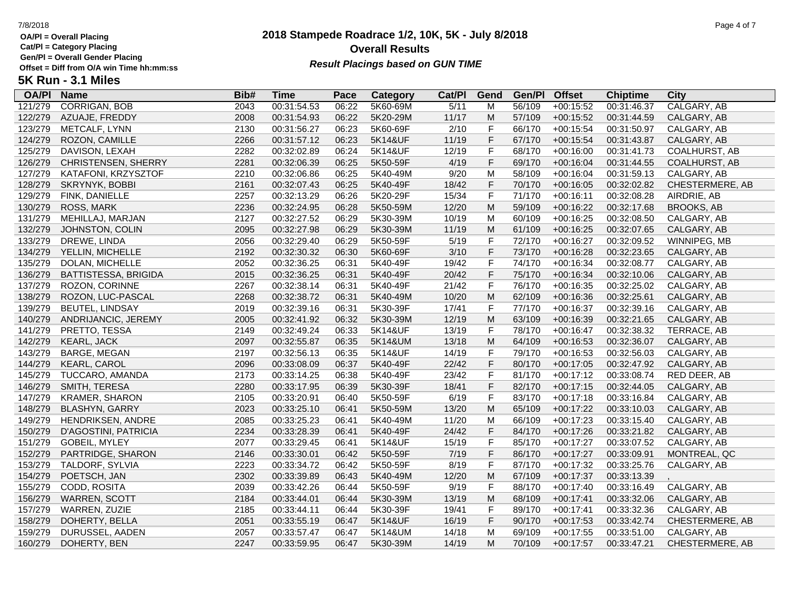**Cat/Pl = Category Placing**

**Gen/Pl = Overall Gender Placing**

## **2018 Stampede Roadrace 1/2, 10K, 5K - July 8/2018** 7/8/2018 Page 4 of 7 **Overall Results** Gen/PI = Overall Gender Placing<br>Offset = Diff from O/A win Time hh:mm:ss *Result Placings based on GUN TIME*

| <b>OA/PI</b> | <b>Name</b>                | Bib# | <b>Time</b> | Pace  | <b>Category</b> | Cat/PI | Gend        | Gen/Pl | <b>Offset</b> | <b>Chiptime</b> | City                 |
|--------------|----------------------------|------|-------------|-------|-----------------|--------|-------------|--------|---------------|-----------------|----------------------|
| 121/279      | <b>CORRIGAN, BOB</b>       | 2043 | 00:31:54.53 | 06:22 | 5K60-69M        | 5/11   | M           | 56/109 | $+00:15:52$   | 00:31:46.37     | CALGARY, AB          |
| 122/279      | AZUAJE, FREDDY             | 2008 | 00:31:54.93 | 06:22 | 5K20-29M        | 11/17  | M           | 57/109 | $+00:15:52$   | 00:31:44.59     | CALGARY, AB          |
| 123/279      | METCALF, LYNN              | 2130 | 00:31:56.27 | 06:23 | 5K60-69F        | 2/10   | F           | 66/170 | $+00:15:54$   | 00:31:50.97     | CALGARY, AB          |
| 124/279      | ROZON, CAMILLE             | 2266 | 00:31:57.12 | 06:23 | 5K14&UF         | 11/19  | $\mathsf F$ | 67/170 | $+00:15:54$   | 00:31:43.87     | CALGARY, AB          |
| 125/279      | DAVISON, LEXAH             | 2282 | 00:32:02.89 | 06:24 | 5K14&UF         | 12/19  | F           | 68/170 | $+00:16:00$   | 00:31:41.73     | <b>COALHURST, AB</b> |
| 126/279      | <b>CHRISTENSEN, SHERRY</b> | 2281 | 00:32:06.39 | 06:25 | 5K50-59F        | 4/19   | $\mathsf F$ | 69/170 | $+00:16:04$   | 00:31:44.55     | <b>COALHURST, AB</b> |
| 127/279      | KATAFONI, KRZYSZTOF        | 2210 | 00:32:06.86 | 06:25 | 5K40-49M        | 9/20   | M           | 58/109 | $+00:16:04$   | 00:31:59.13     | CALGARY, AB          |
| 128/279      | SKRYNYK, BOBBI             | 2161 | 00:32:07.43 | 06:25 | 5K40-49F        | 18/42  | $\mathsf F$ | 70/170 | $+00:16:05$   | 00:32:02.82     | CHESTERMERE, AB      |
| 129/279      | FINK, DANIELLE             | 2257 | 00:32:13.29 | 06:26 | 5K20-29F        | 15/34  | $\mathsf F$ | 71/170 | $+00:16:11$   | 00:32:08.28     | AIRDRIE, AB          |
| 130/279      | ROSS, MARK                 | 2236 | 00:32:24.95 | 06:28 | 5K50-59M        | 12/20  | M           | 59/109 | $+00:16:22$   | 00:32:17.68     | <b>BROOKS, AB</b>    |
| 131/279      | MEHILLAJ, MARJAN           | 2127 | 00:32:27.52 | 06:29 | 5K30-39M        | 10/19  | M           | 60/109 | $+00:16:25$   | 00:32:08.50     | CALGARY, AB          |
| 132/279      | JOHNSTON, COLIN            | 2095 | 00:32:27.98 | 06:29 | 5K30-39M        | 11/19  | M           | 61/109 | $+00:16:25$   | 00:32:07.65     | CALGARY, AB          |
| 133/279      | DREWE, LINDA               | 2056 | 00:32:29.40 | 06:29 | 5K50-59F        | 5/19   | F           | 72/170 | $+00:16:27$   | 00:32:09.52     | WINNIPEG, MB         |
| 134/279      | YELLIN, MICHELLE           | 2192 | 00:32:30.32 | 06:30 | 5K60-69F        | 3/10   | $\mathsf F$ | 73/170 | $+00:16:28$   | 00:32:23.65     | CALGARY, AB          |
| 135/279      | DOLAN, MICHELLE            | 2052 | 00:32:36.25 | 06:31 | 5K40-49F        | 19/42  | $\mathsf F$ | 74/170 | $+00:16:34$   | 00:32:08.77     | CALGARY, AB          |
| 136/279      | BATTISTESSA, BRIGIDA       | 2015 | 00:32:36.25 | 06:31 | 5K40-49F        | 20/42  | $\mathsf F$ | 75/170 | $+00:16:34$   | 00:32:10.06     | CALGARY, AB          |
| 137/279      | ROZON, CORINNE             | 2267 | 00:32:38.14 | 06:31 | 5K40-49F        | 21/42  | F           | 76/170 | $+00:16:35$   | 00:32:25.02     | CALGARY, AB          |
| 138/279      | ROZON, LUC-PASCAL          | 2268 | 00:32:38.72 | 06:31 | 5K40-49M        | 10/20  | M           | 62/109 | $+00:16:36$   | 00:32:25.61     | CALGARY, AB          |
| 139/279      | <b>BEUTEL, LINDSAY</b>     | 2019 | 00:32:39.16 | 06:31 | 5K30-39F        | 17/41  | $\mathsf F$ | 77/170 | $+00:16:37$   | 00:32:39.16     | CALGARY, AB          |
| 140/279      | ANDRIJANCIC, JEREMY        | 2005 | 00:32:41.92 | 06:32 | 5K30-39M        | 12/19  | ${\sf M}$   | 63/109 | $+00:16:39$   | 00:32:21.65     | CALGARY, AB          |
| 141/279      | PRETTO, TESSA              | 2149 | 00:32:49.24 | 06:33 | 5K14&UF         | 13/19  | F           | 78/170 | $+00:16:47$   | 00:32:38.32     | TERRACE, AB          |
| 142/279      | <b>KEARL, JACK</b>         | 2097 | 00:32:55.87 | 06:35 | 5K14&UM         | 13/18  | M           | 64/109 | $+00:16:53$   | 00:32:36.07     | CALGARY, AB          |
| 143/279      | <b>BARGE, MEGAN</b>        | 2197 | 00:32:56.13 | 06:35 | 5K14&UF         | 14/19  | $\mathsf F$ | 79/170 | $+00:16:53$   | 00:32:56.03     | CALGARY, AB          |
| 144/279      | <b>KEARL, CAROL</b>        | 2096 | 00:33:08.09 | 06:37 | 5K40-49F        | 22/42  | $\mathsf F$ | 80/170 | $+00:17:05$   | 00:32:47.92     | CALGARY, AB          |
| 145/279      | TUCCARO, AMANDA            | 2173 | 00:33:14.25 | 06:38 | 5K40-49F        | 23/42  | F           | 81/170 | $+00:17:12$   | 00:33:08.74     | RED DEER, AB         |
| 146/279      | SMITH, TERESA              | 2280 | 00:33:17.95 | 06:39 | 5K30-39F        | 18/41  | $\mathsf F$ | 82/170 | $+00:17:15$   | 00:32:44.05     | CALGARY, AB          |
| 147/279      | <b>KRAMER, SHARON</b>      | 2105 | 00:33:20.91 | 06:40 | 5K50-59F        | 6/19   | $\mathsf F$ | 83/170 | $+00:17:18$   | 00:33:16.84     | CALGARY, AB          |
| 148/279      | <b>BLASHYN, GARRY</b>      | 2023 | 00:33:25.10 | 06:41 | 5K50-59M        | 13/20  | M           | 65/109 | $+00:17:22$   | 00:33:10.03     | CALGARY, AB          |
| 149/279      | HENDRIKSEN, ANDRE          | 2085 | 00:33:25.23 | 06:41 | 5K40-49M        | 11/20  | M           | 66/109 | $+00:17:23$   | 00:33:15.40     | CALGARY, AB          |
| 150/279      | D'AGOSTINI, PATRICIA       | 2234 | 00:33:28.39 | 06:41 | 5K40-49F        | 24/42  | F           | 84/170 | $+00:17:26$   | 00:33:21.82     | CALGARY, AB          |
| 151/279      | GOBEIL, MYLEY              | 2077 | 00:33:29.45 | 06:41 | 5K14&UF         | 15/19  | $\mathsf F$ | 85/170 | $+00:17:27$   | 00:33:07.52     | CALGARY, AB          |
| 152/279      | PARTRIDGE, SHARON          | 2146 | 00:33:30.01 | 06:42 | 5K50-59F        | 7/19   | $\mathsf F$ | 86/170 | $+00:17:27$   | 00:33:09.91     | MONTREAL, QC         |
| 153/279      | TALDORF, SYLVIA            | 2223 | 00:33:34.72 | 06:42 | 5K50-59F        | 8/19   | $\mathsf F$ | 87/170 | $+00:17:32$   | 00:33:25.76     | CALGARY, AB          |
| 154/279      | POETSCH, JAN               | 2302 | 00:33:39.89 | 06:43 | 5K40-49M        | 12/20  | M           | 67/109 | $+00:17:37$   | 00:33:13.39     |                      |
| 155/279      | CODD, ROSITA               | 2039 | 00:33:42.26 | 06:44 | 5K50-59F        | 9/19   | $\mathsf F$ | 88/170 | $+00:17:40$   | 00:33:16.49     | CALGARY, AB          |
| 156/279      | WARREN, SCOTT              | 2184 | 00:33:44.01 | 06:44 | 5K30-39M        | 13/19  | ${\sf M}$   | 68/109 | $+00:17:41$   | 00:33:32.06     | CALGARY, AB          |
| 157/279      | WARREN, ZUZIE              | 2185 | 00:33:44.11 | 06:44 | 5K30-39F        | 19/41  | F           | 89/170 | $+00:17:41$   | 00:33:32.36     | CALGARY, AB          |
| 158/279      | DOHERTY, BELLA             | 2051 | 00:33:55.19 | 06:47 | 5K14&UF         | 16/19  | $\mathsf F$ | 90/170 | $+00:17:53$   | 00:33:42.74     | CHESTERMERE, AB      |
| 159/279      | DURUSSEL, AADEN            | 2057 | 00:33:57.47 | 06:47 | 5K14&UM         | 14/18  | M           | 69/109 | $+00:17:55$   | 00:33:51.00     | CALGARY, AB          |
| 160/279      | DOHERTY, BEN               | 2247 | 00:33:59.95 | 06:47 | 5K30-39M        | 14/19  | M           | 70/109 | $+00:17:57$   | 00:33:47.21     | CHESTERMERE, AB      |
|              |                            |      |             |       |                 |        |             |        |               |                 |                      |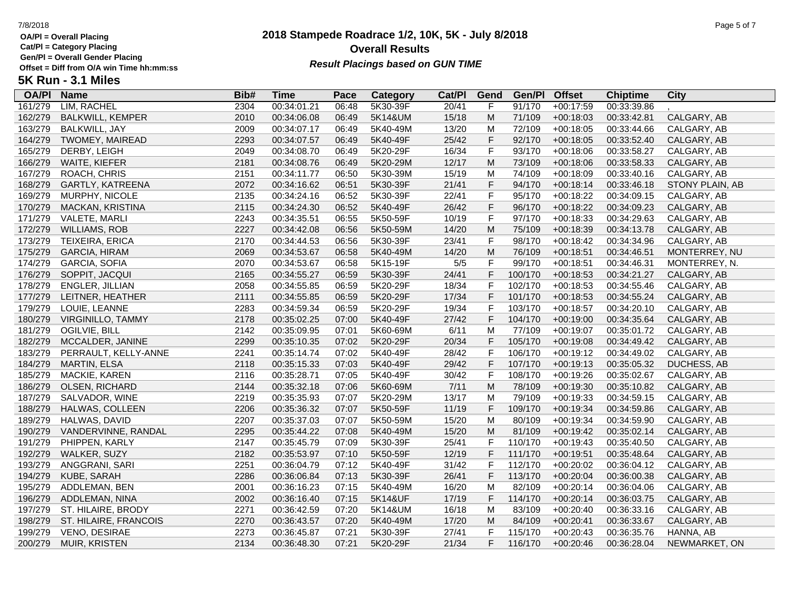**Cat/Pl = Category Placing**

**Gen/Pl = Overall Gender Placing**

### **2018 Stampede Roadrace 1/2, 10K, 5K - July 8/2018** 7/8/2018 Page 5 of 7 **Overall Results Result Placings based on GUN TIME**

| <b>OA/PI</b> | <b>Name</b>              | Bib# | Time        | Pace  | Category | Cat/PI | Gend        | Gen/Pl  | <b>Offset</b> | <b>Chiptime</b> | City            |
|--------------|--------------------------|------|-------------|-------|----------|--------|-------------|---------|---------------|-----------------|-----------------|
| 161/279      | LIM, RACHEL              | 2304 | 00:34:01.21 | 06:48 | 5K30-39F | 20/41  | F           | 91/170  | $+00:17:59$   | 00:33:39.86     |                 |
| 162/279      | <b>BALKWILL, KEMPER</b>  | 2010 | 00:34:06.08 | 06:49 | 5K14&UM  | 15/18  | M           | 71/109  | $+00:18:03$   | 00:33:42.81     | CALGARY, AB     |
| 163/279      | BALKWILL, JAY            | 2009 | 00:34:07.17 | 06:49 | 5K40-49M | 13/20  | M           | 72/109  | $+00:18:05$   | 00:33:44.66     | CALGARY, AB     |
| 164/279      | <b>TWOMEY, MAIREAD</b>   | 2293 | 00:34:07.57 | 06:49 | 5K40-49F | 25/42  | F           | 92/170  | $+00:18:05$   | 00:33:52.40     | CALGARY, AB     |
| 165/279      | DERBY, LEIGH             | 2049 | 00:34:08.70 | 06:49 | 5K20-29F | 16/34  | F           | 93/170  | $+00:18:06$   | 00:33:58.27     | CALGARY, AB     |
| 166/279      | WAITE, KIEFER            | 2181 | 00:34:08.76 | 06:49 | 5K20-29M | 12/17  | ${\sf M}$   | 73/109  | $+00:18:06$   | 00:33:58.33     | CALGARY, AB     |
| 167/279      | ROACH, CHRIS             | 2151 | 00:34:11.77 | 06:50 | 5K30-39M | 15/19  | M           | 74/109  | $+00:18:09$   | 00:33:40.16     | CALGARY, AB     |
| 168/279      | GARTLY, KATREENA         | 2072 | 00:34:16.62 | 06:51 | 5K30-39F | 21/41  | F           | 94/170  | $+00:18:14$   | 00:33:46.18     | STONY PLAIN, AB |
| 169/279      | MURPHY, NICOLE           | 2135 | 00:34:24.16 | 06:52 | 5K30-39F | 22/41  | F           | 95/170  | $+00:18:22$   | 00:34:09.15     | CALGARY, AB     |
| 170/279      | MACKAN, KRISTINA         | 2115 | 00:34:24.30 | 06:52 | 5K40-49F | 26/42  | F           | 96/170  | $+00:18:22$   | 00:34:09.23     | CALGARY, AB     |
| 171/279      | <b>VALETE, MARLI</b>     | 2243 | 00:34:35.51 | 06:55 | 5K50-59F | 10/19  | F           | 97/170  | $+00:18:33$   | 00:34:29.63     | CALGARY, AB     |
| 172/279      | <b>WILLIAMS, ROB</b>     | 2227 | 00:34:42.08 | 06:56 | 5K50-59M | 14/20  | ${\sf M}$   | 75/109  | $+00:18:39$   | 00:34:13.78     | CALGARY, AB     |
| 173/279      | TEIXEIRA, ERICA          | 2170 | 00:34:44.53 | 06:56 | 5K30-39F | 23/41  | F           | 98/170  | $+00:18:42$   | 00:34:34.96     | CALGARY, AB     |
| 175/279      | <b>GARCIA, HIRAM</b>     | 2069 | 00:34:53.67 | 06:58 | 5K40-49M | 14/20  | ${\sf M}$   | 76/109  | $+00:18:51$   | 00:34:46.51     | MONTERREY, NU   |
| 174/279      | GARCIA, SOFIA            | 2070 | 00:34:53.67 | 06:58 | 5K15-19F | $5/5$  | F           | 99/170  | $+00:18:51$   | 00:34:46.31     | MONTERREY, N.   |
| 176/279      | SOPPIT, JACQUI           | 2165 | 00:34:55.27 | 06:59 | 5K30-39F | 24/41  | F           | 100/170 | $+00:18:53$   | 00:34:21.27     | CALGARY, AB     |
| 178/279      | <b>ENGLER, JILLIAN</b>   | 2058 | 00:34:55.85 | 06:59 | 5K20-29F | 18/34  | F           | 102/170 | $+00:18:53$   | 00:34:55.46     | CALGARY, AB     |
| 177/279      | LEITNER, HEATHER         | 2111 | 00:34:55.85 | 06:59 | 5K20-29F | 17/34  | F           | 101/170 | $+00:18:53$   | 00:34:55.24     | CALGARY, AB     |
| 179/279      | LOUIE, LEANNE            | 2283 | 00:34:59.34 | 06:59 | 5K20-29F | 19/34  | F           | 103/170 | $+00:18:57$   | 00:34:20.10     | CALGARY, AB     |
| 180/279      | <b>VIRGINILLO, TAMMY</b> | 2178 | 00:35:02.25 | 07:00 | 5K40-49F | 27/42  | F           | 104/170 | $+00:19:00$   | 00:34:35.64     | CALGARY, AB     |
| 181/279      | OGILVIE, BILL            | 2142 | 00:35:09.95 | 07:01 | 5K60-69M | 6/11   | M           | 77/109  | $+00:19:07$   | 00:35:01.72     | CALGARY, AB     |
| 182/279      | MCCALDER, JANINE         | 2299 | 00:35:10.35 | 07:02 | 5K20-29F | 20/34  | F           | 105/170 | $+00:19:08$   | 00:34:49.42     | CALGARY, AB     |
| 183/279      | PERRAULT, KELLY-ANNE     | 2241 | 00:35:14.74 | 07:02 | 5K40-49F | 28/42  | F           | 106/170 | $+00:19:12$   | 00:34:49.02     | CALGARY, AB     |
| 184/279      | MARTIN, ELSA             | 2118 | 00:35:15.33 | 07:03 | 5K40-49F | 29/42  | F           | 107/170 | $+00:19:13$   | 00:35:05.32     | DUCHESS, AB     |
| 185/279      | MACKIE, KAREN            | 2116 | 00:35:28.71 | 07:05 | 5K40-49F | 30/42  | F           | 108/170 | $+00:19:26$   | 00:35:02.67     | CALGARY, AB     |
| 186/279      | OLSEN, RICHARD           | 2144 | 00:35:32.18 | 07:06 | 5K60-69M | 7/11   | ${\sf M}$   | 78/109  | $+00:19:30$   | 00:35:10.82     | CALGARY, AB     |
| 187/279      | SALVADOR, WINE           | 2219 | 00:35:35.93 | 07:07 | 5K20-29M | 13/17  | M           | 79/109  | $+00:19:33$   | 00:34:59.15     | CALGARY, AB     |
| 188/279      | HALWAS, COLLEEN          | 2206 | 00:35:36.32 | 07:07 | 5K50-59F | 11/19  | F           | 109/170 | $+00:19:34$   | 00:34:59.86     | CALGARY, AB     |
| 189/279      | HALWAS, DAVID            | 2207 | 00:35:37.03 | 07:07 | 5K50-59M | 15/20  | M           | 80/109  | $+00:19:34$   | 00:34:59.90     | CALGARY, AB     |
| 190/279      | VANDERVINNE, RANDAL      | 2295 | 00:35:44.22 | 07:08 | 5K40-49M | 15/20  | ${\sf M}$   | 81/109  | $+00:19:42$   | 00:35:02.14     | CALGARY, AB     |
| 191/279      | PHIPPEN, KARLY           | 2147 | 00:35:45.79 | 07:09 | 5K30-39F | 25/41  | $\mathsf F$ | 110/170 | $+00:19:43$   | 00:35:40.50     | CALGARY, AB     |
| 192/279      | WALKER, SUZY             | 2182 | 00:35:53.97 | 07:10 | 5K50-59F | 12/19  | F           | 111/170 | $+00:19:51$   | 00:35:48.64     | CALGARY, AB     |
| 193/279      | ANGGRANI, SARI           | 2251 | 00:36:04.79 | 07:12 | 5K40-49F | 31/42  | F           | 112/170 | $+00:20:02$   | 00:36:04.12     | CALGARY, AB     |
| 194/279      | KUBE, SARAH              | 2286 | 00:36:06.84 | 07:13 | 5K30-39F | 26/41  | F           | 113/170 | $+00:20:04$   | 00:36:00.38     | CALGARY, AB     |
| 195/279      | ADDLEMAN, BEN            | 2001 | 00:36:16.23 | 07:15 | 5K40-49M | 16/20  | M           | 82/109  | $+00:20:14$   | 00:36:04.06     | CALGARY, AB     |
| 196/279      | ADDLEMAN, NINA           | 2002 | 00:36:16.40 | 07:15 | 5K14&UF  | 17/19  | F           | 114/170 | $+00:20:14$   | 00:36:03.75     | CALGARY, AB     |
| 197/279      | ST. HILAIRE, BRODY       | 2271 | 00:36:42.59 | 07:20 | 5K14&UM  | 16/18  | M           | 83/109  | $+00:20:40$   | 00:36:33.16     | CALGARY, AB     |
| 198/279      | ST. HILAIRE, FRANCOIS    | 2270 | 00:36:43.57 | 07:20 | 5K40-49M | 17/20  | M           | 84/109  | $+00:20:41$   | 00:36:33.67     | CALGARY, AB     |
| 199/279      | <b>VENO, DESIRAE</b>     | 2273 | 00:36:45.87 | 07:21 | 5K30-39F | 27/41  | F           | 115/170 | $+00:20:43$   | 00:36:35.76     | HANNA, AB       |
| 200/279      | MUIR, KRISTEN            | 2134 | 00:36:48.30 | 07:21 | 5K20-29F | 21/34  | F           | 116/170 | $+00:20:46$   | 00:36:28.04     | NEWMARKET, ON   |
|              |                          |      |             |       |          |        |             |         |               |                 |                 |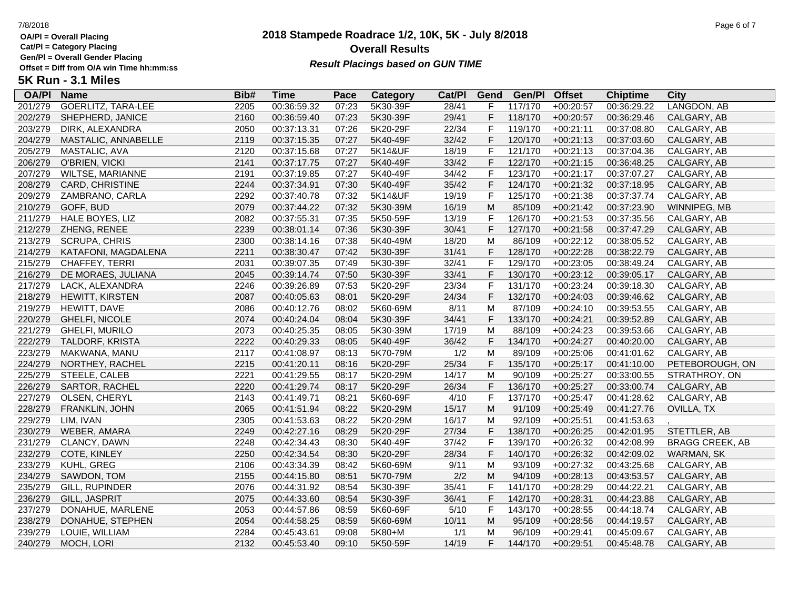**Cat/Pl = Category Placing**

**Gen/Pl = Overall Gender Placing**

## **2018 Stampede Roadrace 1/2, 10K, 5K - July 8/2018** 7/8/2018 Page 6 of 7 **Overall Results** Gen/PI = Overall Gender Placing<br>Offset = Diff from O/A win Time hh:mm:ss *Result Placings based on GUN TIME*

| <b>OA/PI</b> | <b>Name</b>               | Bib# | Time        | Pace  | Category | Cat/PI | Gend         | Gen/Pl  | <b>Offset</b> | <b>Chiptime</b> | City                   |
|--------------|---------------------------|------|-------------|-------|----------|--------|--------------|---------|---------------|-----------------|------------------------|
| 201/279      | <b>GOERLITZ, TARA-LEE</b> | 2205 | 00:36:59.32 | 07:23 | 5K30-39F | 28/41  | F            | 117/170 | $+00:20:57$   | 00:36:29.22     | LANGDON, AB            |
| 202/279      | SHEPHERD, JANICE          | 2160 | 00:36:59.40 | 07:23 | 5K30-39F | 29/41  | F            | 118/170 | $+00:20:57$   | 00:36:29.46     | CALGARY, AB            |
| 203/279      | DIRK, ALEXANDRA           | 2050 | 00:37:13.31 | 07:26 | 5K20-29F | 22/34  | $\mathsf{F}$ | 119/170 | $+00:21:11$   | 00:37:08.80     | CALGARY, AB            |
| 204/279      | MASTALIC, ANNABELLE       | 2119 | 00:37:15.35 | 07:27 | 5K40-49F | 32/42  | F            | 120/170 | $+00:21:13$   | 00:37:03.60     | CALGARY, AB            |
| 205/279      | MASTALIC, AVA             | 2120 | 00:37:15.68 | 07:27 | 5K14&UF  | 18/19  | F            | 121/170 | $+00:21:13$   | 00:37:04.36     | CALGARY, AB            |
| 206/279      | O'BRIEN, VICKI            | 2141 | 00:37:17.75 | 07:27 | 5K40-49F | 33/42  | $\mathsf F$  | 122/170 | $+00:21:15$   | 00:36:48.25     | CALGARY, AB            |
| 207/279      | WILTSE, MARIANNE          | 2191 | 00:37:19.85 | 07:27 | 5K40-49F | 34/42  | $\mathsf F$  | 123/170 | $+00:21:17$   | 00:37:07.27     | CALGARY, AB            |
| 208/279      | CARD, CHRISTINE           | 2244 | 00:37:34.91 | 07:30 | 5K40-49F | 35/42  | $\mathsf F$  | 124/170 | $+00:21:32$   | 00:37:18.95     | CALGARY, AB            |
| 209/279      | ZAMBRANO, CARLA           | 2292 | 00:37:40.78 | 07:32 | 5K14&UF  | 19/19  | $\mathsf F$  | 125/170 | $+00:21:38$   | 00:37:37.74     | CALGARY, AB            |
| 210/279      | GOFF, BUD                 | 2079 | 00:37:44.22 | 07:32 | 5K30-39M | 16/19  | M            | 85/109  | $+00:21:42$   | 00:37:23.90     | WINNIPEG, MB           |
| 211/279      | HALE BOYES, LIZ           | 2082 | 00:37:55.31 | 07:35 | 5K50-59F | 13/19  | F            | 126/170 | $+00:21:53$   | 00:37:35.56     | CALGARY, AB            |
| 212/279      | ZHENG, RENEE              | 2239 | 00:38:01.14 | 07:36 | 5K30-39F | 30/41  | F            | 127/170 | $+00:21:58$   | 00:37:47.29     | CALGARY, AB            |
| 213/279      | <b>SCRUPA, CHRIS</b>      | 2300 | 00:38:14.16 | 07:38 | 5K40-49M | 18/20  | M            | 86/109  | $+00:22:12$   | 00:38:05.52     | CALGARY, AB            |
| 214/279      | KATAFONI, MAGDALENA       | 2211 | 00:38:30.47 | 07:42 | 5K30-39F | 31/41  | F            | 128/170 | $+00:22:28$   | 00:38:22.79     | CALGARY, AB            |
| 215/279      | CHAFFEY, TERRI            | 2031 | 00:39:07.35 | 07:49 | 5K30-39F | 32/41  | $\mathsf{F}$ | 129/170 | $+00:23:05$   | 00:38:49.24     | CALGARY, AB            |
| 216/279      | DE MORAES, JULIANA        | 2045 | 00:39:14.74 | 07:50 | 5K30-39F | 33/41  | $\mathsf F$  | 130/170 | $+00:23:12$   | 00:39:05.17     | CALGARY, AB            |
| 217/279      | LACK, ALEXANDRA           | 2246 | 00:39:26.89 | 07:53 | 5K20-29F | 23/34  | $\mathsf F$  | 131/170 | $+00:23:24$   | 00:39:18.30     | CALGARY, AB            |
| 218/279      | HEWITT, KIRSTEN           | 2087 | 00:40:05.63 | 08:01 | 5K20-29F | 24/34  | F            | 132/170 | $+00:24:03$   | 00:39:46.62     | CALGARY, AB            |
| 219/279      | HEWITT, DAVE              | 2086 | 00:40:12.76 | 08:02 | 5K60-69M | 8/11   | M            | 87/109  | $+00:24:10$   | 00:39:53.55     | CALGARY, AB            |
| 220/279      | GHELFI, NICOLE            | 2074 | 00:40:24.04 | 08:04 | 5K30-39F | 34/41  | F            | 133/170 | $+00:24:21$   | 00:39:52.89     | CALGARY, AB            |
| 221/279      | GHELFI, MURILO            | 2073 | 00:40:25.35 | 08:05 | 5K30-39M | 17/19  | M            | 88/109  | $+00:24:23$   | 00:39:53.66     | CALGARY, AB            |
| 222/279      | TALDORF, KRISTA           | 2222 | 00:40:29.33 | 08:05 | 5K40-49F | 36/42  | $\mathsf F$  | 134/170 | $+00:24:27$   | 00:40:20.00     | CALGARY, AB            |
| 223/279      | MAKWANA, MANU             | 2117 | 00:41:08.97 | 08:13 | 5K70-79M | 1/2    | M            | 89/109  | $+00:25:06$   | 00:41:01.62     | CALGARY, AB            |
| 224/279      | NORTHEY, RACHEL           | 2215 | 00:41:20.11 | 08:16 | 5K20-29F | 25/34  | F            | 135/170 | $+00:25:17$   | 00:41:10.00     | PETEBOROUGH, ON        |
| 225/279      | STEELE, CALEB             | 2221 | 00:41:29.55 | 08:17 | 5K20-29M | 14/17  | M            | 90/109  | $+00:25:27$   | 00:33:00.55     | STRATHROY, ON          |
| 226/279      | <b>SARTOR, RACHEL</b>     | 2220 | 00:41:29.74 | 08:17 | 5K20-29F | 26/34  | $\mathsf F$  | 136/170 | $+00:25:27$   | 00:33:00.74     | CALGARY, AB            |
| 227/279      | OLSEN, CHERYL             | 2143 | 00:41:49.71 | 08:21 | 5K60-69F | 4/10   | $\mathsf F$  | 137/170 | $+00:25:47$   | 00:41:28.62     | CALGARY, AB            |
| 228/279      | FRANKLIN, JOHN            | 2065 | 00:41:51.94 | 08:22 | 5K20-29M | 15/17  | M            | 91/109  | $+00:25:49$   | 00:41:27.76     | OVILLA, TX             |
| 229/279      | LIM, IVAN                 | 2305 | 00:41:53.63 | 08:22 | 5K20-29M | 16/17  | M            | 92/109  | $+00:25:51$   | 00:41:53.63     |                        |
| 230/279      | WEBER, AMARA              | 2249 | 00:42:27.16 | 08:29 | 5K20-29F | 27/34  | $\mathsf F$  | 138/170 | $+00:26:25$   | 00:42:01.95     | STETTLER, AB           |
| 231/279      | CLANCY, DAWN              | 2248 | 00:42:34.43 | 08:30 | 5K40-49F | 37/42  | F            | 139/170 | $+00:26:32$   | 00:42:08.99     | <b>BRAGG CREEK, AB</b> |
| 232/279      | COTE, KINLEY              | 2250 | 00:42:34.54 | 08:30 | 5K20-29F | 28/34  | F            | 140/170 | $+00:26:32$   | 00:42:09.02     | <b>WARMAN, SK</b>      |
| 233/279      | KUHL, GREG                | 2106 | 00:43:34.39 | 08:42 | 5K60-69M | 9/11   | M            | 93/109  | $+00:27:32$   | 00:43:25.68     | CALGARY, AB            |
| 234/279      | SAWDON, TOM               | 2155 | 00:44:15.80 | 08:51 | 5K70-79M | 2/2    | M            | 94/109  | $+00:28:13$   | 00:43:53.57     | CALGARY, AB            |
| 235/279      | GILL, RUPINDER            | 2076 | 00:44:31.92 | 08:54 | 5K30-39F | 35/41  | F            | 141/170 | $+00:28:29$   | 00:44:22.21     | CALGARY, AB            |
| 236/279      | GILL, JASPRIT             | 2075 | 00:44:33.60 | 08:54 | 5K30-39F | 36/41  | $\mathsf F$  | 142/170 | $+00:28:31$   | 00:44:23.88     | CALGARY, AB            |
| 237/279      | DONAHUE, MARLENE          | 2053 | 00:44:57.86 | 08:59 | 5K60-69F | 5/10   | $\mathsf F$  | 143/170 | $+00:28:55$   | 00:44:18.74     | CALGARY, AB            |
| 238/279      | DONAHUE, STEPHEN          | 2054 | 00:44:58.25 | 08:59 | 5K60-69M | 10/11  | M            | 95/109  | $+00:28:56$   | 00:44:19.57     | CALGARY, AB            |
| 239/279      | LOUIE, WILLIAM            | 2284 | 00:45:43.61 | 09:08 | 5K80+M   | 1/1    | M            | 96/109  | $+00:29:41$   | 00:45:09.67     | CALGARY, AB            |
| 240/279      | MOCH, LORI                | 2132 | 00:45:53.40 | 09:10 | 5K50-59F | 14/19  | F            | 144/170 | $+00:29:51$   | 00:45:48.78     | CALGARY, AB            |
|              |                           |      |             |       |          |        |              |         |               |                 |                        |